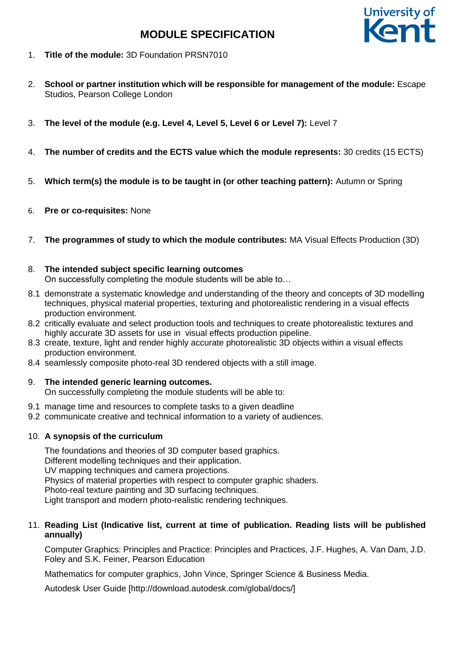

- 1. **Title of the module:** 3D Foundation PRSN7010
- 2. **School or partner institution which will be responsible for management of the module:** Escape Studios, Pearson College London
- 3. **The level of the module (e.g. Level 4, Level 5, Level 6 or Level 7):** Level 7
- 4. **The number of credits and the ECTS value which the module represents:** 30 credits (15 ECTS)
- 5. **Which term(s) the module is to be taught in (or other teaching pattern):** Autumn or Spring
- 6. **Pre or co-requisites:** None
- 7. **The programmes of study to which the module contributes:** MA Visual Effects Production (3D)

## 8. **The intended subject specific learning outcomes**

On successfully completing the module students will be able to…

- 8.1 demonstrate a systematic knowledge and understanding of the theory and concepts of 3D modelling techniques, physical material properties, texturing and photorealistic rendering in a visual effects production environment.
- 8.2 critically evaluate and select production tools and techniques to create photorealistic textures and highly accurate 3D assets for use in visual effects production pipeline.
- 8.3 create, texture, light and render highly accurate photorealistic 3D objects within a visual effects production environment.
- 8.4 seamlessly composite photo-real 3D rendered objects with a still image.

## 9. **The intended generic learning outcomes.**

On successfully completing the module students will be able to:

- 9.1 manage time and resources to complete tasks to a given deadline
- 9.2 communicate creative and technical information to a variety of audiences.

## 10. **A synopsis of the curriculum**

The foundations and theories of 3D computer based graphics. Different modelling techniques and their application. UV mapping techniques and camera projections. Physics of material properties with respect to computer graphic shaders. Photo-real texture painting and 3D surfacing techniques. Light transport and modern photo-realistic rendering techniques.

## 11. **Reading List (Indicative list, current at time of publication. Reading lists will be published annually)**

Computer Graphics: Principles and Practice: Principles and Practices, J.F. Hughes, A. Van Dam, J.D. Foley and S.K. Feiner, Pearson Education

Mathematics for computer graphics, John Vince, Springer Science & Business Media.

Autodesk User Guide [http://download.autodesk.com/global/docs/]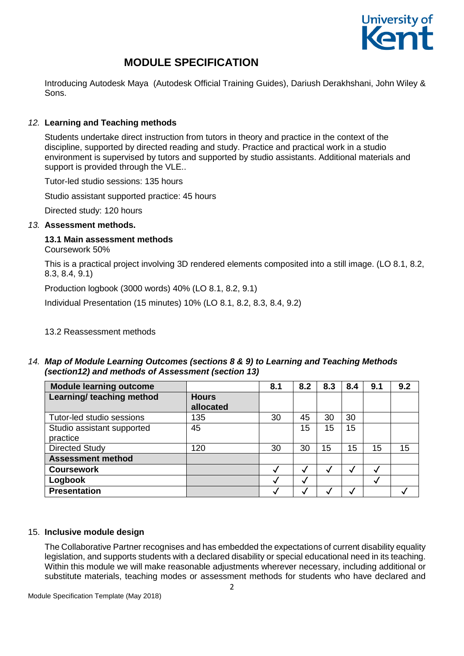

# **MODULE SPECIFICATION**

Introducing Autodesk Maya (Autodesk Official Training Guides), Dariush Derakhshani, John Wiley & Sons.

# *12.* **Learning and Teaching methods**

Students undertake direct instruction from tutors in theory and practice in the context of the discipline, supported by directed reading and study. Practice and practical work in a studio environment is supervised by tutors and supported by studio assistants. Additional materials and support is provided through the VLE..

Tutor-led studio sessions: 135 hours

Studio assistant supported practice: 45 hours

Directed study: 120 hours

#### *13.* **Assessment methods.**

## **13.1 Main assessment methods**

Coursework 50%

This is a practical project involving 3D rendered elements composited into a still image. (LO 8.1, 8.2, 8.3, 8.4, 9.1)

Production logbook (3000 words) 40% (LO 8.1, 8.2, 9.1)

Individual Presentation (15 minutes) 10% (LO 8.1, 8.2, 8.3, 8.4, 9.2)

#### 13.2 Reassessment methods

## *14. Map of Module Learning Outcomes (sections 8 & 9) to Learning and Teaching Methods (section12) and methods of Assessment (section 13)*

| <b>Module learning outcome</b>         |                           | 8.1          | 8.2          | 8.3 | 8.4 | 9.1 | 9.2 |
|----------------------------------------|---------------------------|--------------|--------------|-----|-----|-----|-----|
| Learning/ teaching method              | <b>Hours</b><br>allocated |              |              |     |     |     |     |
| Tutor-led studio sessions              | 135                       | 30           | 45           | 30  | 30  |     |     |
| Studio assistant supported<br>practice | 45                        |              | 15           | 15  | 15  |     |     |
| <b>Directed Study</b>                  | 120                       | 30           | 30           | 15  | 15  | 15  | 15  |
| <b>Assessment method</b>               |                           |              |              |     |     |     |     |
| <b>Coursework</b>                      |                           | $\checkmark$ | $\checkmark$ |     | ◡   |     |     |
| Logbook                                |                           |              | √            |     |     |     |     |
| <b>Presentation</b>                    |                           |              |              |     |     |     |     |

## 15. **Inclusive module design**

The Collaborative Partner recognises and has embedded the expectations of current disability equality legislation, and supports students with a declared disability or special educational need in its teaching. Within this module we will make reasonable adjustments wherever necessary, including additional or substitute materials, teaching modes or assessment methods for students who have declared and